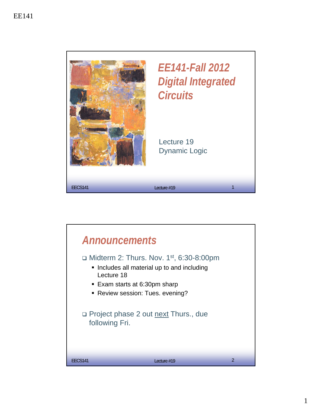

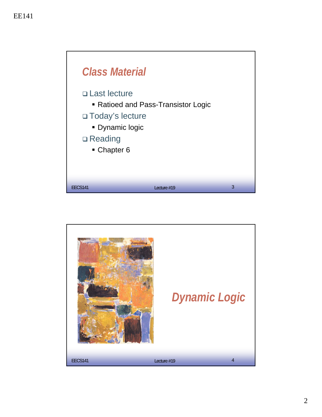

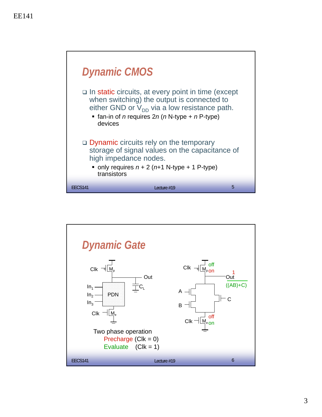

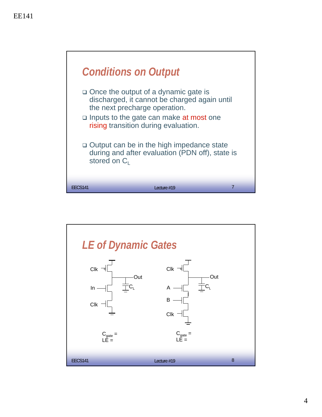

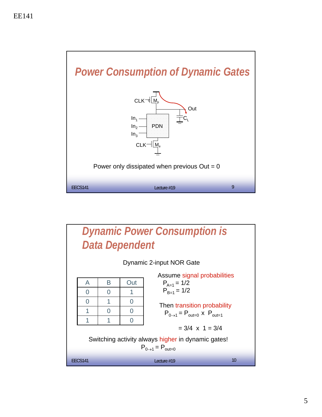

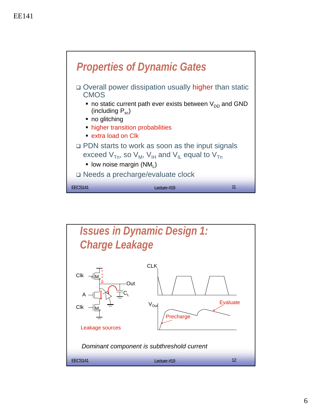

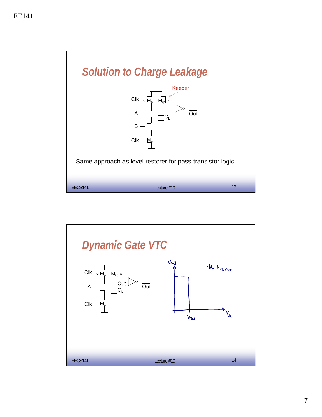

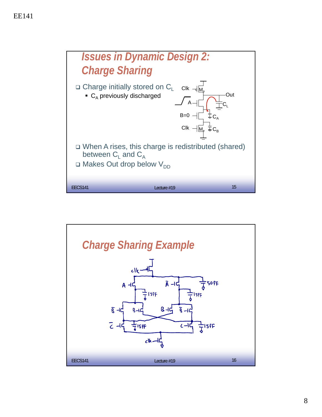

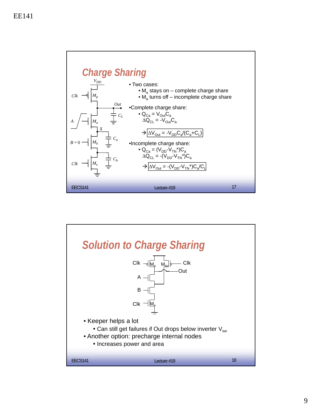